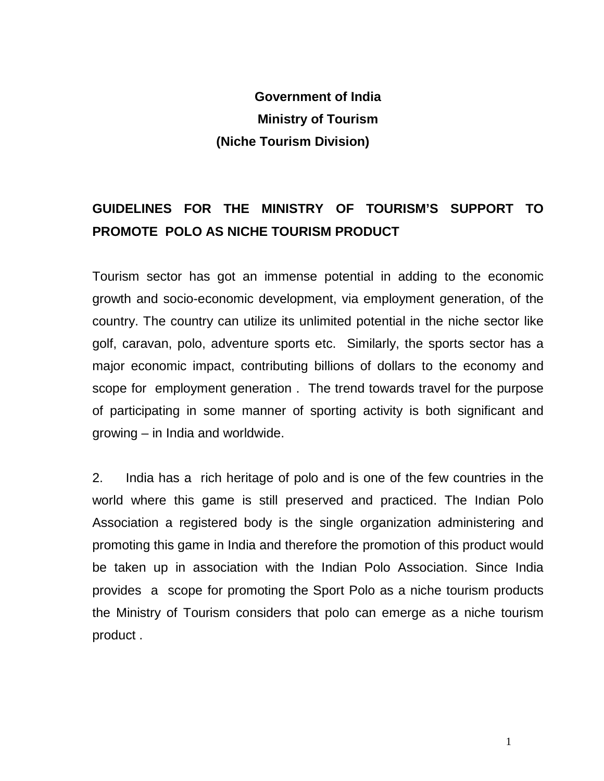# **Government of India Ministry of Tourism (Niche Tourism Division)**

# **GUIDELINES FOR THE MINISTRY OF TOURISM'S SUPPORT TO PROMOTE POLO AS NICHE TOURISM PRODUCT**

Tourism sector has got an immense potential in adding to the economic growth and socio-economic development, via employment generation, of the country. The country can utilize its unlimited potential in the niche sector like golf, caravan, polo, adventure sports etc. Similarly, the sports sector has a major economic impact, contributing billions of dollars to the economy and scope for employment generation . The trend towards travel for the purpose of participating in some manner of sporting activity is both significant and growing – in India and worldwide.

2. India has a rich heritage of polo and is one of the few countries in the world where this game is still preserved and practiced. The Indian Polo Association a registered body is the single organization administering and promoting this game in India and therefore the promotion of this product would be taken up in association with the Indian Polo Association. Since India provides a scope for promoting the Sport Polo as a niche tourism products the Ministry of Tourism considers that polo can emerge as a niche tourism product .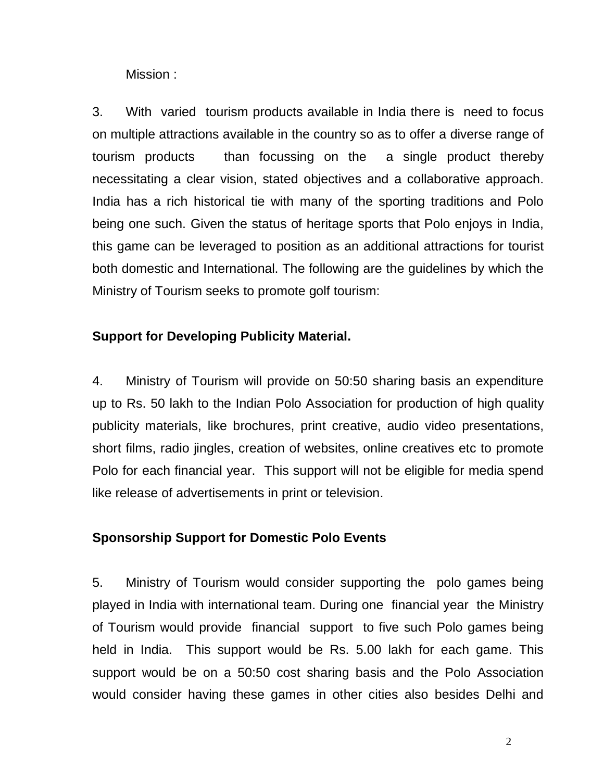Mission :

3. With varied tourism products available in India there is need to focus on multiple attractions available in the country so as to offer a diverse range of tourism products than focussing on the a single product thereby necessitating a clear vision, stated objectives and a collaborative approach. India has a rich historical tie with many of the sporting traditions and Polo being one such. Given the status of heritage sports that Polo enjoys in India, this game can be leveraged to position as an additional attractions for tourist both domestic and International. The following are the guidelines by which the Ministry of Tourism seeks to promote golf tourism:

### **Support for Developing Publicity Material.**

4. Ministry of Tourism will provide on 50:50 sharing basis an expenditure up to Rs. 50 lakh to the Indian Polo Association for production of high quality publicity materials, like brochures, print creative, audio video presentations, short films, radio jingles, creation of websites, online creatives etc to promote Polo for each financial year. This support will not be eligible for media spend like release of advertisements in print or television.

#### **Sponsorship Support for Domestic Polo Events**

5. Ministry of Tourism would consider supporting the polo games being played in India with international team. During one financial year the Ministry of Tourism would provide financial support to five such Polo games being held in India. This support would be Rs. 5.00 lakh for each game. This support would be on a 50:50 cost sharing basis and the Polo Association would consider having these games in other cities also besides Delhi and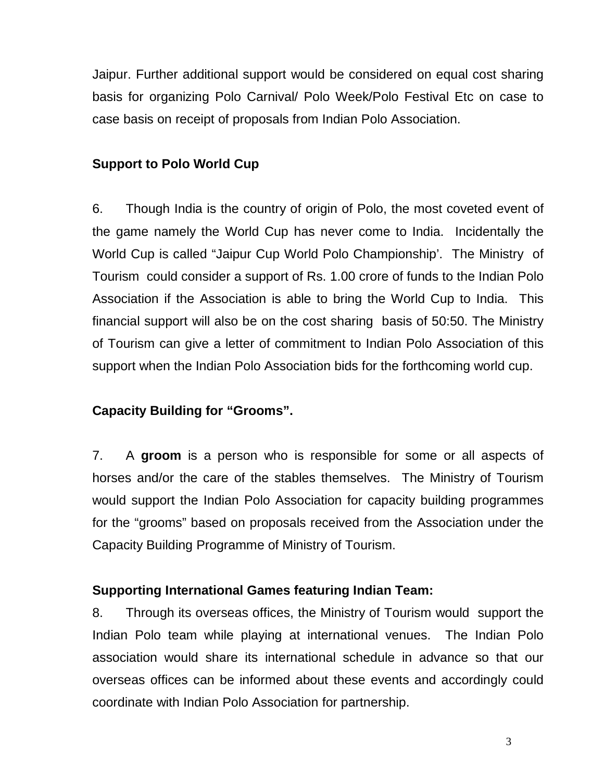Jaipur. Further additional support would be considered on equal cost sharing basis for organizing Polo Carnival/ Polo Week/Polo Festival Etc on case to case basis on receipt of proposals from Indian Polo Association.

## **Support to Polo World Cup**

6. Though India is the country of origin of Polo, the most coveted event of the game namely the World Cup has never come to India. Incidentally the World Cup is called "Jaipur Cup World Polo Championship'. The Ministry of Tourism could consider a support of Rs. 1.00 crore of funds to the Indian Polo Association if the Association is able to bring the World Cup to India. This financial support will also be on the cost sharing basis of 50:50. The Ministry of Tourism can give a letter of commitment to Indian Polo Association of this support when the Indian Polo Association bids for the forthcoming world cup.

## **Capacity Building for "Grooms".**

7. A **groom** is a person who is responsible for some or all aspects of horses and/or the care of the stables themselves. The Ministry of Tourism would support the Indian Polo Association for capacity building programmes for the "grooms" based on proposals received from the Association under the Capacity Building Programme of Ministry of Tourism.

## **Supporting International Games featuring Indian Team:**

8. Through its overseas offices, the Ministry of Tourism would support the Indian Polo team while playing at international venues. The Indian Polo association would share its international schedule in advance so that our overseas offices can be informed about these events and accordingly could coordinate with Indian Polo Association for partnership.